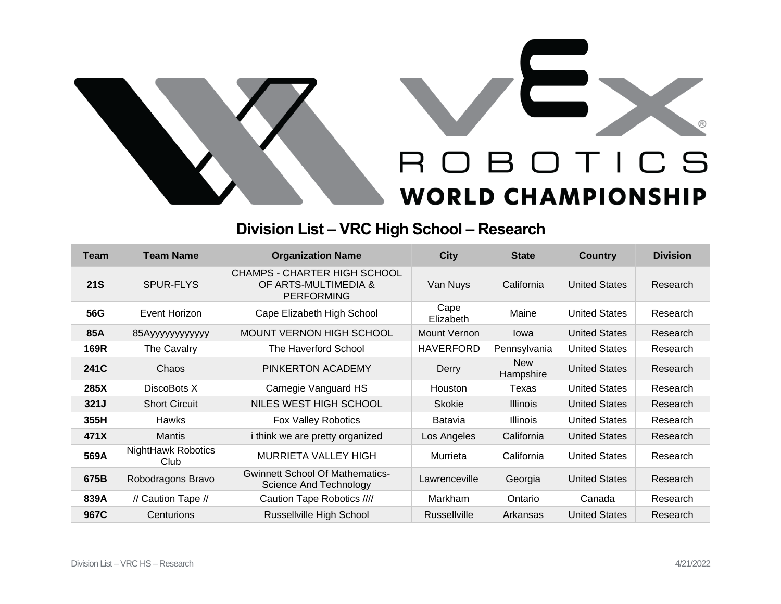



## **Division List – VRC High School – Research**

| <b>Team</b> | <b>Team Name</b>           | <b>Organization Name</b>                                                  | <b>City</b>         | <b>State</b>            | <b>Country</b>       | <b>Division</b> |
|-------------|----------------------------|---------------------------------------------------------------------------|---------------------|-------------------------|----------------------|-----------------|
| <b>21S</b>  | <b>SPUR-FLYS</b>           | CHAMPS - CHARTER HIGH SCHOOL<br>OF ARTS-MULTIMEDIA &<br><b>PERFORMING</b> | Van Nuys            | California              | <b>United States</b> | Research        |
| 56G         | Event Horizon              | Cape Elizabeth High School                                                | Cape<br>Elizabeth   | Maine                   | <b>United States</b> | Research        |
| 85A         | 85Ауууууууууууу            | <b>MOUNT VERNON HIGH SCHOOL</b>                                           | Mount Vernon        | lowa                    | <b>United States</b> | Research        |
| 169R        | The Cavalry                | The Haverford School                                                      | <b>HAVERFORD</b>    | Pennsylvania            | <b>United States</b> | Research        |
| 241C        | Chaos                      | PINKERTON ACADEMY                                                         | Derry               | <b>New</b><br>Hampshire | <b>United States</b> | Research        |
| 285X        | DiscoBots X                | Carnegie Vanguard HS                                                      | Houston             | Texas                   | <b>United States</b> | Research        |
| 321J        | <b>Short Circuit</b>       | NILES WEST HIGH SCHOOL                                                    | <b>Skokie</b>       | <b>Illinois</b>         | <b>United States</b> | Research        |
| 355H        | <b>Hawks</b>               | <b>Fox Valley Robotics</b>                                                | Batavia             | Illinois                | <b>United States</b> | Research        |
| 471X        | Mantis                     | <i>i</i> think we are pretty organized                                    | Los Angeles         | California              | <b>United States</b> | Research        |
| 569A        | NightHawk Robotics<br>Club | <b>MURRIETA VALLEY HIGH</b>                                               | Murrieta            | California              | <b>United States</b> | Research        |
| 675B        | Robodragons Bravo          | <b>Gwinnett School Of Mathematics-</b><br><b>Science And Technology</b>   | Lawrenceville       | Georgia                 | <b>United States</b> | Research        |
| 839A        | // Caution Tape //         | Caution Tape Robotics ////                                                | <b>Markham</b>      | Ontario                 | Canada               | Research        |
| 967C        | Centurions                 | Russellville High School                                                  | <b>Russellville</b> | Arkansas                | <b>United States</b> | Research        |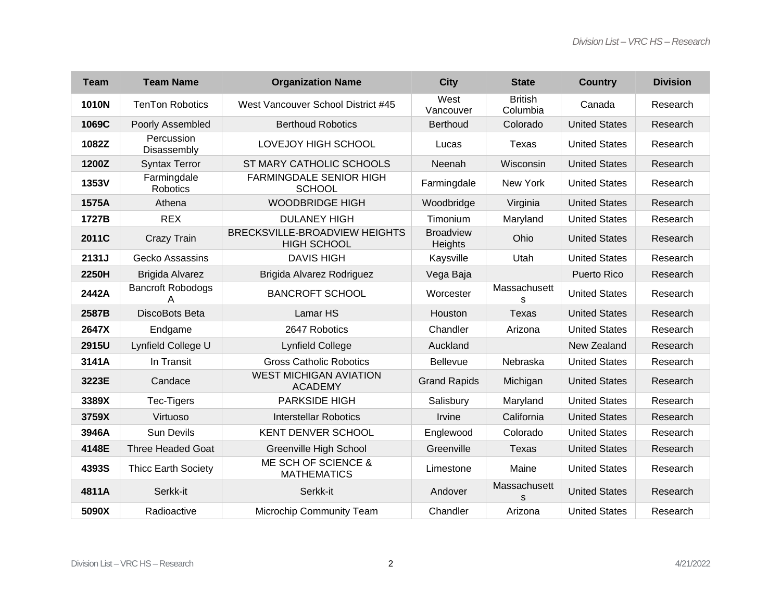| <b>Team</b> | <b>Team Name</b>              | <b>Organization Name</b>                            | <b>City</b>                 | <b>State</b>               | <b>Country</b>       | <b>Division</b> |
|-------------|-------------------------------|-----------------------------------------------------|-----------------------------|----------------------------|----------------------|-----------------|
| 1010N       | <b>TenTon Robotics</b>        | West Vancouver School District #45                  | West<br>Vancouver           | <b>British</b><br>Columbia | Canada               | Research        |
| 1069C       | Poorly Assembled              | <b>Berthoud Robotics</b>                            | <b>Berthoud</b>             | Colorado                   | <b>United States</b> | Research        |
| 1082Z       | Percussion<br>Disassembly     | LOVEJOY HIGH SCHOOL                                 | Lucas                       | Texas                      | <b>United States</b> | Research        |
| 1200Z       | <b>Syntax Terror</b>          | ST MARY CATHOLIC SCHOOLS                            | Neenah                      | Wisconsin                  | <b>United States</b> | Research        |
| 1353V       | Farmingdale<br>Robotics       | <b>FARMINGDALE SENIOR HIGH</b><br><b>SCHOOL</b>     | Farmingdale                 | New York                   | <b>United States</b> | Research        |
| 1575A       | Athena                        | <b>WOODBRIDGE HIGH</b>                              | Woodbridge                  | Virginia                   | <b>United States</b> | Research        |
| 1727B       | <b>REX</b>                    | <b>DULANEY HIGH</b>                                 | Timonium                    | Maryland                   | <b>United States</b> | Research        |
| 2011C       | Crazy Train                   | BRECKSVILLE-BROADVIEW HEIGHTS<br><b>HIGH SCHOOL</b> | <b>Broadview</b><br>Heights | Ohio                       | <b>United States</b> | Research        |
| 2131J       | Gecko Assassins               | <b>DAVIS HIGH</b>                                   | Kaysville                   | Utah                       | <b>United States</b> | Research        |
| 2250H       | <b>Brigida Alvarez</b>        | Brigida Alvarez Rodriguez                           | Vega Baja                   |                            | Puerto Rico          | Research        |
| 2442A       | <b>Bancroft Robodogs</b><br>Α | <b>BANCROFT SCHOOL</b>                              | Worcester                   | Massachusett<br>s          | <b>United States</b> | Research        |
| 2587B       | DiscoBots Beta                | Lamar HS                                            | Houston                     | <b>Texas</b>               | <b>United States</b> | Research        |
| 2647X       | Endgame                       | 2647 Robotics                                       | Chandler                    | Arizona                    | <b>United States</b> | Research        |
| 2915U       | Lynfield College U            | <b>Lynfield College</b>                             | Auckland                    |                            | New Zealand          | Research        |
| 3141A       | In Transit                    | <b>Gross Catholic Robotics</b>                      | <b>Bellevue</b>             | Nebraska                   | <b>United States</b> | Research        |
| 3223E       | Candace                       | <b>WEST MICHIGAN AVIATION</b><br><b>ACADEMY</b>     | <b>Grand Rapids</b>         | Michigan                   | <b>United States</b> | Research        |
| 3389X       | Tec-Tigers                    | <b>PARKSIDE HIGH</b>                                | Salisbury                   | Maryland                   | <b>United States</b> | Research        |
| 3759X       | Virtuoso                      | <b>Interstellar Robotics</b>                        | Irvine                      | California                 | <b>United States</b> | Research        |
| 3946A       | <b>Sun Devils</b>             | KENT DENVER SCHOOL                                  | Englewood                   | Colorado                   | <b>United States</b> | Research        |
| 4148E       | <b>Three Headed Goat</b>      | <b>Greenville High School</b>                       | Greenville                  | Texas                      | <b>United States</b> | Research        |
| 4393S       | <b>Thicc Earth Society</b>    | ME SCH OF SCIENCE &<br><b>MATHEMATICS</b>           | Limestone                   | Maine                      | <b>United States</b> | Research        |
| 4811A       | Serkk-it                      | Serkk-it                                            | Andover                     | Massachusett<br>S          | <b>United States</b> | Research        |
| 5090X       | Radioactive                   | Microchip Community Team                            | Chandler                    | Arizona                    | <b>United States</b> | Research        |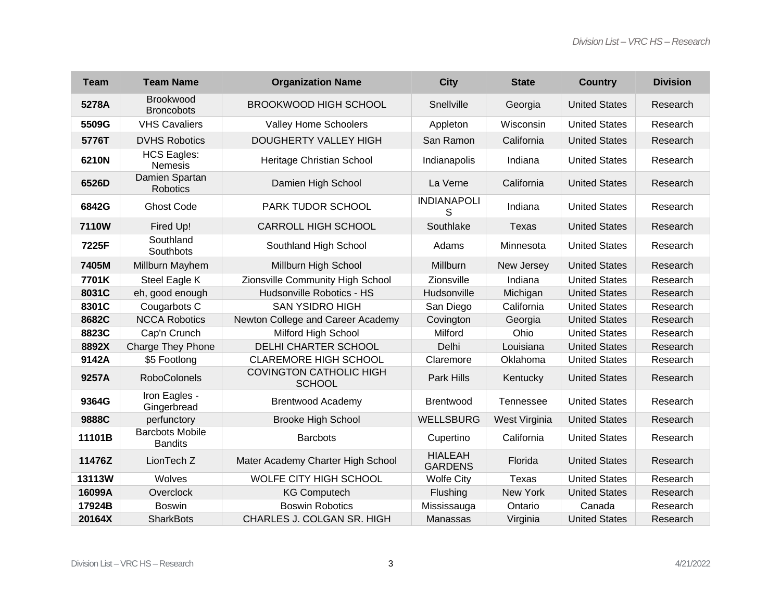| <b>Team</b> | <b>Team Name</b>                         | <b>Organization Name</b>                        | <b>City</b>                      | <b>State</b>  | <b>Country</b>       | <b>Division</b> |
|-------------|------------------------------------------|-------------------------------------------------|----------------------------------|---------------|----------------------|-----------------|
| 5278A       | Brookwood<br><b>Broncobots</b>           | <b>BROOKWOOD HIGH SCHOOL</b>                    | Snellville                       | Georgia       | <b>United States</b> | Research        |
| 5509G       | <b>VHS Cavaliers</b>                     | Valley Home Schoolers                           | Appleton                         | Wisconsin     | <b>United States</b> | Research        |
| 5776T       | <b>DVHS Robotics</b>                     | <b>DOUGHERTY VALLEY HIGH</b>                    | San Ramon                        | California    | <b>United States</b> | Research        |
| 6210N       | <b>HCS Eagles:</b><br><b>Nemesis</b>     | Heritage Christian School                       | Indianapolis                     | Indiana       | <b>United States</b> | Research        |
| 6526D       | Damien Spartan<br><b>Robotics</b>        | Damien High School                              | La Verne                         | California    | <b>United States</b> | Research        |
| 6842G       | <b>Ghost Code</b>                        | PARK TUDOR SCHOOL                               | <b>INDIANAPOLI</b><br>S          | Indiana       | <b>United States</b> | Research        |
| 7110W       | Fired Up!                                | CARROLL HIGH SCHOOL                             | Southlake                        | Texas         | <b>United States</b> | Research        |
| 7225F       | Southland<br>Southbots                   | Southland High School                           | Adams                            | Minnesota     | <b>United States</b> | Research        |
| 7405M       | Millburn Mayhem                          | Millburn High School                            | Millburn                         | New Jersey    | <b>United States</b> | Research        |
| 7701K       | Steel Eagle K                            | Zionsville Community High School                | Zionsville                       | Indiana       | <b>United States</b> | Research        |
| 8031C       | eh, good enough                          | Hudsonville Robotics - HS                       | Hudsonville                      | Michigan      | <b>United States</b> | Research        |
| 8301C       | Cougarbots C                             | <b>SAN YSIDRO HIGH</b>                          | San Diego                        | California    | <b>United States</b> | Research        |
| 8682C       | <b>NCCA Robotics</b>                     | Newton College and Career Academy               | Covington                        | Georgia       | <b>United States</b> | Research        |
| 8823C       | Cap'n Crunch                             | Milford High School                             | Milford                          | Ohio          | <b>United States</b> | Research        |
| 8892X       | <b>Charge They Phone</b>                 | <b>DELHI CHARTER SCHOOL</b>                     | Delhi                            | Louisiana     | <b>United States</b> | Research        |
| 9142A       | \$5 Footlong                             | <b>CLAREMORE HIGH SCHOOL</b>                    | Claremore                        | Oklahoma      | <b>United States</b> | Research        |
| 9257A       | <b>RoboColonels</b>                      | <b>COVINGTON CATHOLIC HIGH</b><br><b>SCHOOL</b> | Park Hills                       | Kentucky      | <b>United States</b> | Research        |
| 9364G       | Iron Eagles -<br>Gingerbread             | <b>Brentwood Academy</b>                        | Brentwood                        | Tennessee     | <b>United States</b> | Research        |
| 9888C       | perfunctory                              | <b>Brooke High School</b>                       | <b>WELLSBURG</b>                 | West Virginia | <b>United States</b> | Research        |
| 11101B      | <b>Barcbots Mobile</b><br><b>Bandits</b> | <b>Barcbots</b>                                 | Cupertino                        | California    | <b>United States</b> | Research        |
| 11476Z      | LionTech <sub>Z</sub>                    | Mater Academy Charter High School               | <b>HIALEAH</b><br><b>GARDENS</b> | Florida       | <b>United States</b> | Research        |
| 13113W      | Wolves                                   | <b>WOLFE CITY HIGH SCHOOL</b>                   | <b>Wolfe City</b>                | <b>Texas</b>  | <b>United States</b> | Research        |
| 16099A      | Overclock                                | <b>KG Computech</b>                             | Flushing                         | New York      | <b>United States</b> | Research        |
| 17924B      | <b>Boswin</b>                            | <b>Boswin Robotics</b>                          | Mississauga                      | Ontario       | Canada               | Research        |
| 20164X      | <b>SharkBots</b>                         | CHARLES J. COLGAN SR. HIGH                      | Manassas                         | Virginia      | <b>United States</b> | Research        |